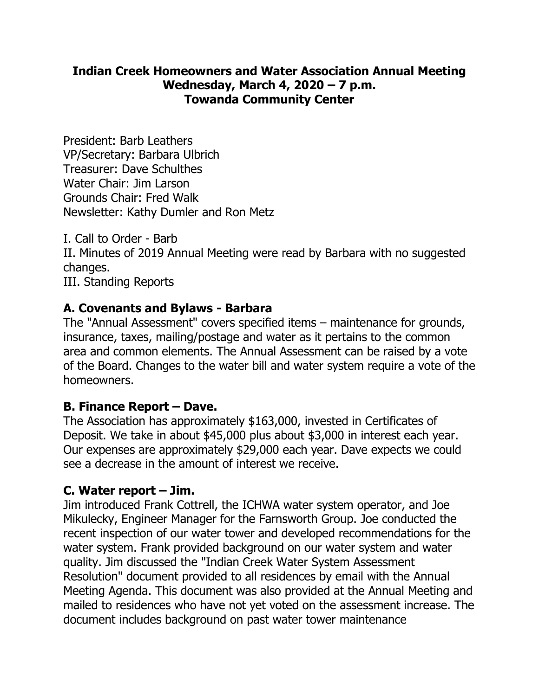## **Indian Creek Homeowners and Water Association Annual Meeting Wednesday, March 4, 2020 – 7 p.m. Towanda Community Center**

President: Barb Leathers VP/Secretary: Barbara Ulbrich Treasurer: Dave Schulthes Water Chair: Jim Larson Grounds Chair: Fred Walk Newsletter: Kathy Dumler and Ron Metz

I. Call to Order - Barb

II. Minutes of 2019 Annual Meeting were read by Barbara with no suggested changes.

III. Standing Reports

# **A. Covenants and Bylaws - Barbara**

The "Annual Assessment" covers specified items – maintenance for grounds, insurance, taxes, mailing/postage and water as it pertains to the common area and common elements. The Annual Assessment can be raised by a vote of the Board. Changes to the water bill and water system require a vote of the homeowners.

### **B. Finance Report – Dave.**

The Association has approximately \$163,000, invested in Certificates of Deposit. We take in about \$45,000 plus about \$3,000 in interest each year. Our expenses are approximately \$29,000 each year. Dave expects we could see a decrease in the amount of interest we receive.

# **C. Water report – Jim.**

Jim introduced Frank Cottrell, the ICHWA water system operator, and Joe Mikulecky, Engineer Manager for the Farnsworth Group. Joe conducted the recent inspection of our water tower and developed recommendations for the water system. Frank provided background on our water system and water quality. Jim discussed the "Indian Creek Water System Assessment Resolution" document provided to all residences by email with the Annual Meeting Agenda. This document was also provided at the Annual Meeting and mailed to residences who have not yet voted on the assessment increase. The document includes background on past water tower maintenance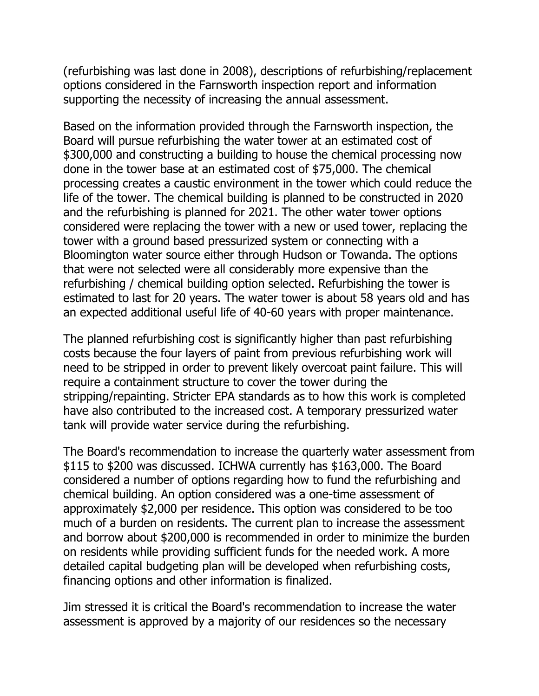(refurbishing was last done in 2008), descriptions of refurbishing/replacement options considered in the Farnsworth inspection report and information supporting the necessity of increasing the annual assessment.

Based on the information provided through the Farnsworth inspection, the Board will pursue refurbishing the water tower at an estimated cost of \$300,000 and constructing a building to house the chemical processing now done in the tower base at an estimated cost of \$75,000. The chemical processing creates a caustic environment in the tower which could reduce the life of the tower. The chemical building is planned to be constructed in 2020 and the refurbishing is planned for 2021. The other water tower options considered were replacing the tower with a new or used tower, replacing the tower with a ground based pressurized system or connecting with a Bloomington water source either through Hudson or Towanda. The options that were not selected were all considerably more expensive than the refurbishing / chemical building option selected. Refurbishing the tower is estimated to last for 20 years. The water tower is about 58 years old and has an expected additional useful life of 40-60 years with proper maintenance.

The planned refurbishing cost is significantly higher than past refurbishing costs because the four layers of paint from previous refurbishing work will need to be stripped in order to prevent likely overcoat paint failure. This will require a containment structure to cover the tower during the stripping/repainting. Stricter EPA standards as to how this work is completed have also contributed to the increased cost. A temporary pressurized water tank will provide water service during the refurbishing.

The Board's recommendation to increase the quarterly water assessment from \$115 to \$200 was discussed. ICHWA currently has \$163,000. The Board considered a number of options regarding how to fund the refurbishing and chemical building. An option considered was a one-time assessment of approximately \$2,000 per residence. This option was considered to be too much of a burden on residents. The current plan to increase the assessment and borrow about \$200,000 is recommended in order to minimize the burden on residents while providing sufficient funds for the needed work. A more detailed capital budgeting plan will be developed when refurbishing costs, financing options and other information is finalized.

Jim stressed it is critical the Board's recommendation to increase the water assessment is approved by a majority of our residences so the necessary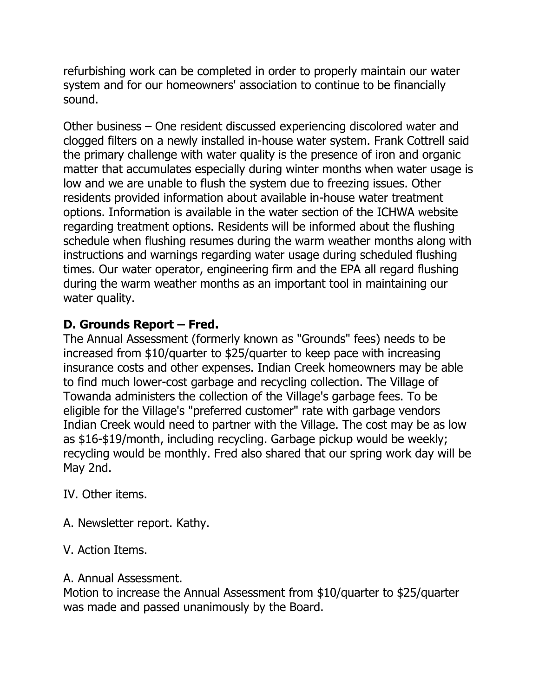refurbishing work can be completed in order to properly maintain our water system and for our homeowners' association to continue to be financially sound.

Other business – One resident discussed experiencing discolored water and clogged filters on a newly installed in-house water system. Frank Cottrell said the primary challenge with water quality is the presence of iron and organic matter that accumulates especially during winter months when water usage is low and we are unable to flush the system due to freezing issues. Other residents provided information about available in-house water treatment options. Information is available in the water section of the ICHWA website regarding treatment options. Residents will be informed about the flushing schedule when flushing resumes during the warm weather months along with instructions and warnings regarding water usage during scheduled flushing times. Our water operator, engineering firm and the EPA all regard flushing during the warm weather months as an important tool in maintaining our water quality.

# **D. Grounds Report – Fred.**

The Annual Assessment (formerly known as "Grounds" fees) needs to be increased from \$10/quarter to \$25/quarter to keep pace with increasing insurance costs and other expenses. Indian Creek homeowners may be able to find much lower-cost garbage and recycling collection. The Village of Towanda administers the collection of the Village's garbage fees. To be eligible for the Village's "preferred customer" rate with garbage vendors Indian Creek would need to partner with the Village. The cost may be as low as \$16-\$19/month, including recycling. Garbage pickup would be weekly; recycling would be monthly. Fred also shared that our spring work day will be May 2nd.

IV. Other items.

- A. Newsletter report. Kathy.
- V. Action Items.

# A. Annual Assessment.

Motion to increase the Annual Assessment from \$10/quarter to \$25/quarter was made and passed unanimously by the Board.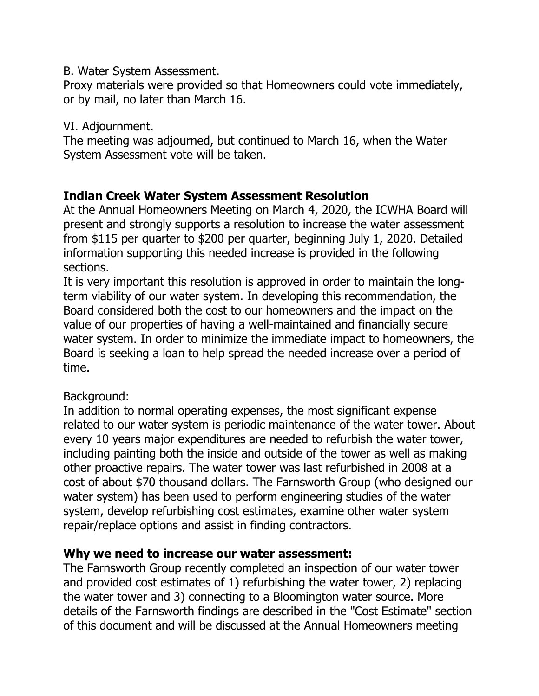#### B. Water System Assessment.

Proxy materials were provided so that Homeowners could vote immediately, or by mail, no later than March 16.

#### VI. Adjournment.

The meeting was adjourned, but continued to March 16, when the Water System Assessment vote will be taken.

## **Indian Creek Water System Assessment Resolution**

At the Annual Homeowners Meeting on March 4, 2020, the ICWHA Board will present and strongly supports a resolution to increase the water assessment from \$115 per quarter to \$200 per quarter, beginning July 1, 2020. Detailed information supporting this needed increase is provided in the following sections.

It is very important this resolution is approved in order to maintain the longterm viability of our water system. In developing this recommendation, the Board considered both the cost to our homeowners and the impact on the value of our properties of having a well-maintained and financially secure water system. In order to minimize the immediate impact to homeowners, the Board is seeking a loan to help spread the needed increase over a period of time.

### Background:

In addition to normal operating expenses, the most significant expense related to our water system is periodic maintenance of the water tower. About every 10 years major expenditures are needed to refurbish the water tower, including painting both the inside and outside of the tower as well as making other proactive repairs. The water tower was last refurbished in 2008 at a cost of about \$70 thousand dollars. The Farnsworth Group (who designed our water system) has been used to perform engineering studies of the water system, develop refurbishing cost estimates, examine other water system repair/replace options and assist in finding contractors.

#### **Why we need to increase our water assessment:**

The Farnsworth Group recently completed an inspection of our water tower and provided cost estimates of 1) refurbishing the water tower, 2) replacing the water tower and 3) connecting to a Bloomington water source. More details of the Farnsworth findings are described in the "Cost Estimate" section of this document and will be discussed at the Annual Homeowners meeting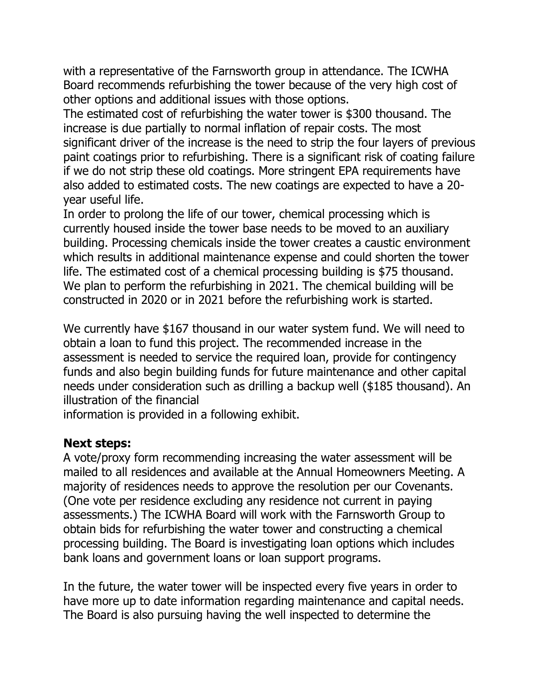with a representative of the Farnsworth group in attendance. The ICWHA Board recommends refurbishing the tower because of the very high cost of other options and additional issues with those options.

The estimated cost of refurbishing the water tower is \$300 thousand. The increase is due partially to normal inflation of repair costs. The most significant driver of the increase is the need to strip the four layers of previous paint coatings prior to refurbishing. There is a significant risk of coating failure if we do not strip these old coatings. More stringent EPA requirements have also added to estimated costs. The new coatings are expected to have a 20 year useful life.

In order to prolong the life of our tower, chemical processing which is currently housed inside the tower base needs to be moved to an auxiliary building. Processing chemicals inside the tower creates a caustic environment which results in additional maintenance expense and could shorten the tower life. The estimated cost of a chemical processing building is \$75 thousand. We plan to perform the refurbishing in 2021. The chemical building will be constructed in 2020 or in 2021 before the refurbishing work is started.

We currently have \$167 thousand in our water system fund. We will need to obtain a loan to fund this project. The recommended increase in the assessment is needed to service the required loan, provide for contingency funds and also begin building funds for future maintenance and other capital needs under consideration such as drilling a backup well (\$185 thousand). An illustration of the financial

information is provided in a following exhibit.

### **Next steps:**

A vote/proxy form recommending increasing the water assessment will be mailed to all residences and available at the Annual Homeowners Meeting. A majority of residences needs to approve the resolution per our Covenants. (One vote per residence excluding any residence not current in paying assessments.) The ICWHA Board will work with the Farnsworth Group to obtain bids for refurbishing the water tower and constructing a chemical processing building. The Board is investigating loan options which includes bank loans and government loans or loan support programs.

In the future, the water tower will be inspected every five years in order to have more up to date information regarding maintenance and capital needs. The Board is also pursuing having the well inspected to determine the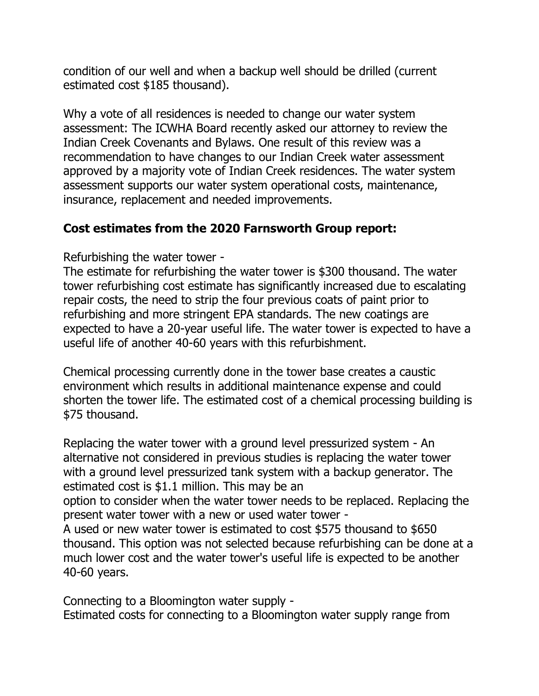condition of our well and when a backup well should be drilled (current estimated cost \$185 thousand).

Why a vote of all residences is needed to change our water system assessment: The ICWHA Board recently asked our attorney to review the Indian Creek Covenants and Bylaws. One result of this review was a recommendation to have changes to our Indian Creek water assessment approved by a majority vote of Indian Creek residences. The water system assessment supports our water system operational costs, maintenance, insurance, replacement and needed improvements.

# **Cost estimates from the 2020 Farnsworth Group report:**

Refurbishing the water tower -

The estimate for refurbishing the water tower is \$300 thousand. The water tower refurbishing cost estimate has significantly increased due to escalating repair costs, the need to strip the four previous coats of paint prior to refurbishing and more stringent EPA standards. The new coatings are expected to have a 20-year useful life. The water tower is expected to have a useful life of another 40-60 years with this refurbishment.

Chemical processing currently done in the tower base creates a caustic environment which results in additional maintenance expense and could shorten the tower life. The estimated cost of a chemical processing building is \$75 thousand.

Replacing the water tower with a ground level pressurized system - An alternative not considered in previous studies is replacing the water tower with a ground level pressurized tank system with a backup generator. The estimated cost is \$1.1 million. This may be an

option to consider when the water tower needs to be replaced. Replacing the present water tower with a new or used water tower -

A used or new water tower is estimated to cost \$575 thousand to \$650 thousand. This option was not selected because refurbishing can be done at a much lower cost and the water tower's useful life is expected to be another 40-60 years.

Connecting to a Bloomington water supply - Estimated costs for connecting to a Bloomington water supply range from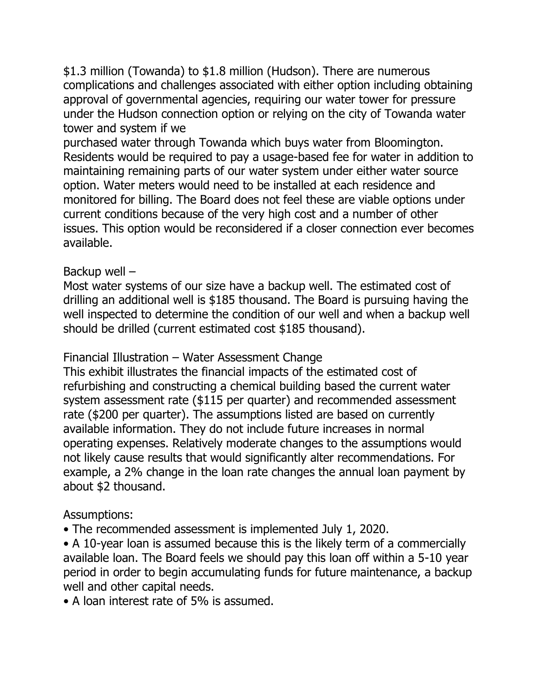\$1.3 million (Towanda) to \$1.8 million (Hudson). There are numerous complications and challenges associated with either option including obtaining approval of governmental agencies, requiring our water tower for pressure under the Hudson connection option or relying on the city of Towanda water tower and system if we

purchased water through Towanda which buys water from Bloomington. Residents would be required to pay a usage-based fee for water in addition to maintaining remaining parts of our water system under either water source option. Water meters would need to be installed at each residence and monitored for billing. The Board does not feel these are viable options under current conditions because of the very high cost and a number of other issues. This option would be reconsidered if a closer connection ever becomes available.

## Backup well –

Most water systems of our size have a backup well. The estimated cost of drilling an additional well is \$185 thousand. The Board is pursuing having the well inspected to determine the condition of our well and when a backup well should be drilled (current estimated cost \$185 thousand).

# Financial Illustration – Water Assessment Change

This exhibit illustrates the financial impacts of the estimated cost of refurbishing and constructing a chemical building based the current water system assessment rate (\$115 per quarter) and recommended assessment rate (\$200 per quarter). The assumptions listed are based on currently available information. They do not include future increases in normal operating expenses. Relatively moderate changes to the assumptions would not likely cause results that would significantly alter recommendations. For example, a 2% change in the loan rate changes the annual loan payment by about \$2 thousand.

### Assumptions:

• The recommended assessment is implemented July 1, 2020.

• A 10-year loan is assumed because this is the likely term of a commercially available loan. The Board feels we should pay this loan off within a 5-10 year period in order to begin accumulating funds for future maintenance, a backup well and other capital needs.

• A loan interest rate of 5% is assumed.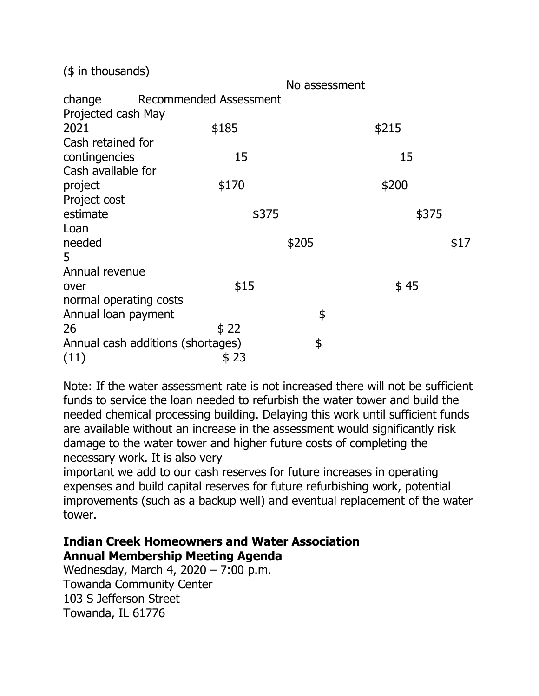(\$ in thousands)

| \$185 | \$215                                                                                        |                        |
|-------|----------------------------------------------------------------------------------------------|------------------------|
|       |                                                                                              |                        |
| 15    | 15                                                                                           |                        |
|       |                                                                                              |                        |
| \$170 | \$200                                                                                        |                        |
|       |                                                                                              |                        |
| \$375 |                                                                                              | \$375                  |
|       |                                                                                              |                        |
|       |                                                                                              | \$17                   |
|       |                                                                                              |                        |
|       |                                                                                              |                        |
| \$15  | \$45                                                                                         |                        |
|       |                                                                                              |                        |
|       | \$                                                                                           |                        |
| \$22  |                                                                                              |                        |
|       | \$                                                                                           |                        |
| \$23  |                                                                                              |                        |
|       | <b>Recommended Assessment</b><br>normal operating costs<br>Annual cash additions (shortages) | No assessment<br>\$205 |

Note: If the water assessment rate is not increased there will not be sufficient funds to service the loan needed to refurbish the water tower and build the needed chemical processing building. Delaying this work until sufficient funds are available without an increase in the assessment would significantly risk damage to the water tower and higher future costs of completing the necessary work. It is also very

important we add to our cash reserves for future increases in operating expenses and build capital reserves for future refurbishing work, potential improvements (such as a backup well) and eventual replacement of the water tower.

## **Indian Creek Homeowners and Water Association Annual Membership Meeting Agenda**

Wednesday, March 4, 2020 – 7:00 p.m. Towanda Community Center 103 S Jefferson Street Towanda, IL 61776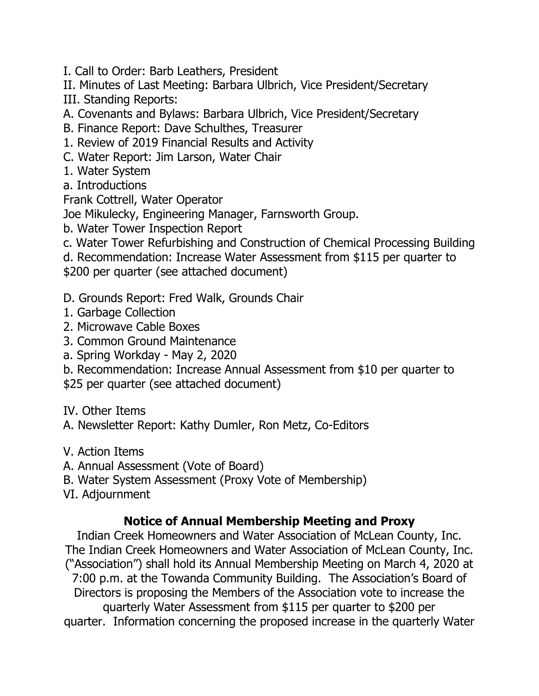- I. Call to Order: Barb Leathers, President
- II. Minutes of Last Meeting: Barbara Ulbrich, Vice President/Secretary III. Standing Reports:
- A. Covenants and Bylaws: Barbara Ulbrich, Vice President/Secretary
- B. Finance Report: Dave Schulthes, Treasurer
- 1. Review of 2019 Financial Results and Activity
- C. Water Report: Jim Larson, Water Chair
- 1. Water System
- a. Introductions
- Frank Cottrell, Water Operator
- Joe Mikulecky, Engineering Manager, Farnsworth Group.
- b. Water Tower Inspection Report
- c. Water Tower Refurbishing and Construction of Chemical Processing Building
- d. Recommendation: Increase Water Assessment from \$115 per quarter to \$200 per quarter (see attached document)
- D. Grounds Report: Fred Walk, Grounds Chair
- 1. Garbage Collection
- 2. Microwave Cable Boxes
- 3. Common Ground Maintenance
- a. Spring Workday May 2, 2020
- b. Recommendation: Increase Annual Assessment from \$10 per quarter to
- \$25 per quarter (see attached document)
- IV. Other Items
- A. Newsletter Report: Kathy Dumler, Ron Metz, Co-Editors
- V. Action Items
- A. Annual Assessment (Vote of Board)
- B. Water System Assessment (Proxy Vote of Membership)
- VI. Adjournment

# **Notice of Annual Membership Meeting and Proxy**

Indian Creek Homeowners and Water Association of McLean County, Inc. The Indian Creek Homeowners and Water Association of McLean County, Inc. ("Association") shall hold its Annual Membership Meeting on March 4, 2020 at 7:00 p.m. at the Towanda Community Building. The Association's Board of Directors is proposing the Members of the Association vote to increase the quarterly Water Assessment from \$115 per quarter to \$200 per quarter. Information concerning the proposed increase in the quarterly Water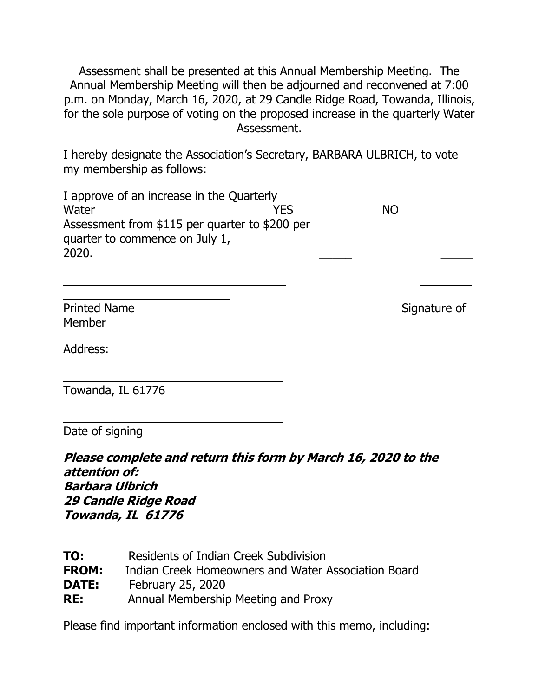Assessment shall be presented at this Annual Membership Meeting. The Annual Membership Meeting will then be adjourned and reconvened at 7:00 p.m. on Monday, March 16, 2020, at 29 Candle Ridge Road, Towanda, Illinois, for the sole purpose of voting on the proposed increase in the quarterly Water Assessment.

I hereby designate the Association's Secretary, BARBARA ULBRICH, to vote my membership as follows:

| I approve of an increase in the Quarterly      |     |           |  |
|------------------------------------------------|-----|-----------|--|
| Water                                          | YFS | <b>NO</b> |  |
| Assessment from \$115 per quarter to \$200 per |     |           |  |
| quarter to commence on July 1,                 |     |           |  |
| 2020.                                          |     |           |  |

Printed Name Signature of Member

Address:

 

 $\overline{a}$ 

Towanda, IL 61776

Date of signing

**Please complete and return this form by March 16, 2020 to the attention of: Barbara Ulbrich 29 Candle Ridge Road Towanda, IL 61776**

| TO:          | Residents of Indian Creek Subdivision               |
|--------------|-----------------------------------------------------|
| <b>FROM:</b> | Indian Creek Homeowners and Water Association Board |
| <b>DATE:</b> | February 25, 2020                                   |
| RE:          | Annual Membership Meeting and Proxy                 |

\_\_\_\_\_\_\_\_\_\_\_\_\_\_\_\_\_\_\_\_\_\_\_\_\_\_\_\_\_\_\_\_\_\_\_\_\_\_\_\_\_\_\_\_\_\_\_\_\_\_\_\_\_

Please find important information enclosed with this memo, including: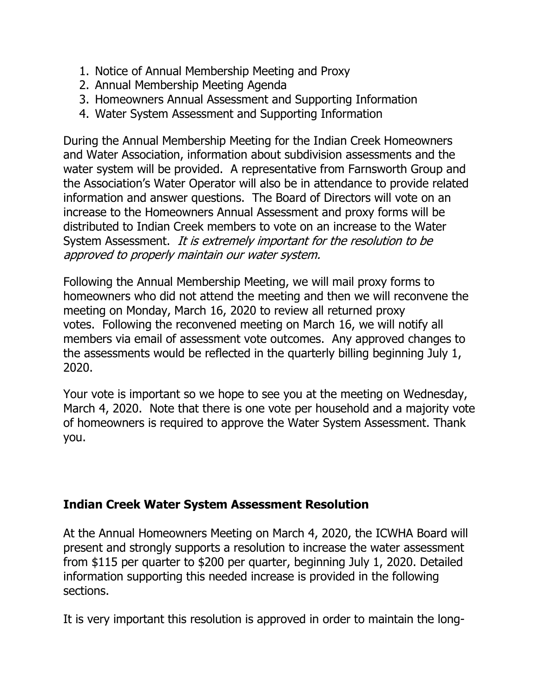- 1. Notice of Annual Membership Meeting and Proxy
- 2. Annual Membership Meeting Agenda
- 3. Homeowners Annual Assessment and Supporting Information
- 4. Water System Assessment and Supporting Information

During the Annual Membership Meeting for the Indian Creek Homeowners and Water Association, information about subdivision assessments and the water system will be provided. A representative from Farnsworth Group and the Association's Water Operator will also be in attendance to provide related information and answer questions. The Board of Directors will vote on an increase to the Homeowners Annual Assessment and proxy forms will be distributed to Indian Creek members to vote on an increase to the Water System Assessment. It is extremely important for the resolution to be approved to properly maintain our water system.

Following the Annual Membership Meeting, we will mail proxy forms to homeowners who did not attend the meeting and then we will reconvene the meeting on Monday, March 16, 2020 to review all returned proxy votes. Following the reconvened meeting on March 16, we will notify all members via email of assessment vote outcomes. Any approved changes to the assessments would be reflected in the quarterly billing beginning July 1, 2020.

Your vote is important so we hope to see you at the meeting on Wednesday, March 4, 2020. Note that there is one vote per household and a majority vote of homeowners is required to approve the Water System Assessment. Thank you.

# **Indian Creek Water System Assessment Resolution**

At the Annual Homeowners Meeting on March 4, 2020, the ICWHA Board will present and strongly supports a resolution to increase the water assessment from \$115 per quarter to \$200 per quarter, beginning July 1, 2020. Detailed information supporting this needed increase is provided in the following sections.

It is very important this resolution is approved in order to maintain the long-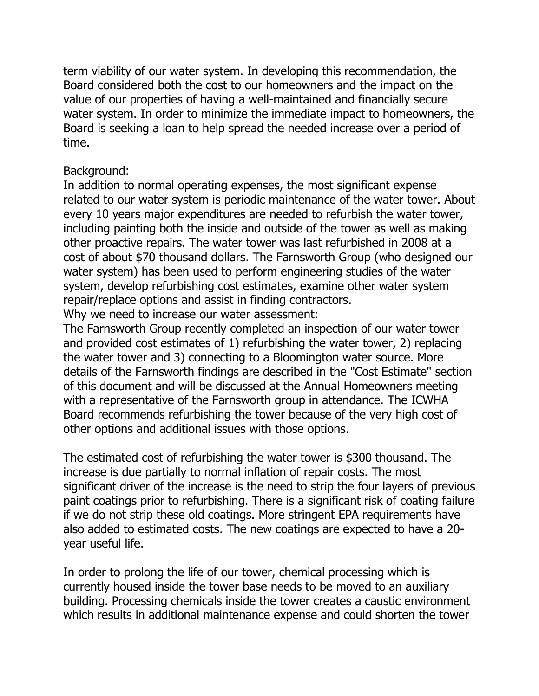term viability of our water system. In developing this recommendation, the Board considered both the cost to our homeowners and the impact on the value of our properties of having a well-maintained and financially secure water system. In order to minimize the immediate impact to homeowners, the Board is seeking a loan to help spread the needed increase over a period of time.

## Background:

In addition to normal operating expenses, the most significant expense related to our water system is periodic maintenance of the water tower. About every 10 years major expenditures are needed to refurbish the water tower, including painting both the inside and outside of the tower as well as making other proactive repairs. The water tower was last refurbished in 2008 at a cost of about \$70 thousand dollars. The Farnsworth Group (who designed our water system) has been used to perform engineering studies of the water system, develop refurbishing cost estimates, examine other water system repair/replace options and assist in finding contractors.

Why we need to increase our water assessment:

The Farnsworth Group recently completed an inspection of our water tower and provided cost estimates of 1) refurbishing the water tower, 2) replacing the water tower and 3) connecting to a Bloomington water source. More details of the Farnsworth findings are described in the "Cost Estimate" section of this document and will be discussed at the Annual Homeowners meeting with a representative of the Farnsworth group in attendance. The ICWHA Board recommends refurbishing the tower because of the very high cost of other options and additional issues with those options.

The estimated cost of refurbishing the water tower is \$300 thousand. The increase is due partially to normal inflation of repair costs. The most significant driver of the increase is the need to strip the four layers of previous paint coatings prior to refurbishing. There is a significant risk of coating failure if we do not strip these old coatings. More stringent EPA requirements have also added to estimated costs. The new coatings are expected to have a 20 year useful life.

In order to prolong the life of our tower, chemical processing which is currently housed inside the tower base needs to be moved to an auxiliary building. Processing chemicals inside the tower creates a caustic environment which results in additional maintenance expense and could shorten the tower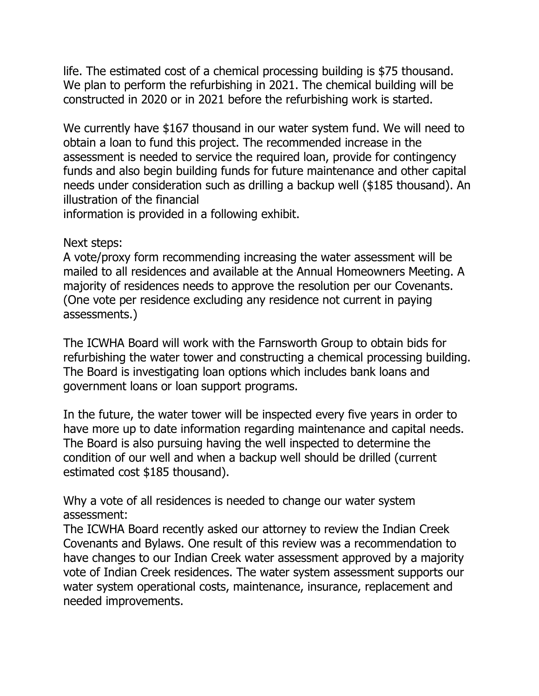life. The estimated cost of a chemical processing building is \$75 thousand. We plan to perform the refurbishing in 2021. The chemical building will be constructed in 2020 or in 2021 before the refurbishing work is started.

We currently have \$167 thousand in our water system fund. We will need to obtain a loan to fund this project. The recommended increase in the assessment is needed to service the required loan, provide for contingency funds and also begin building funds for future maintenance and other capital needs under consideration such as drilling a backup well (\$185 thousand). An illustration of the financial

information is provided in a following exhibit.

#### Next steps:

A vote/proxy form recommending increasing the water assessment will be mailed to all residences and available at the Annual Homeowners Meeting. A majority of residences needs to approve the resolution per our Covenants. (One vote per residence excluding any residence not current in paying assessments.)

The ICWHA Board will work with the Farnsworth Group to obtain bids for refurbishing the water tower and constructing a chemical processing building. The Board is investigating loan options which includes bank loans and government loans or loan support programs.

In the future, the water tower will be inspected every five years in order to have more up to date information regarding maintenance and capital needs. The Board is also pursuing having the well inspected to determine the condition of our well and when a backup well should be drilled (current estimated cost \$185 thousand).

Why a vote of all residences is needed to change our water system assessment:

The ICWHA Board recently asked our attorney to review the Indian Creek Covenants and Bylaws. One result of this review was a recommendation to have changes to our Indian Creek water assessment approved by a majority vote of Indian Creek residences. The water system assessment supports our water system operational costs, maintenance, insurance, replacement and needed improvements.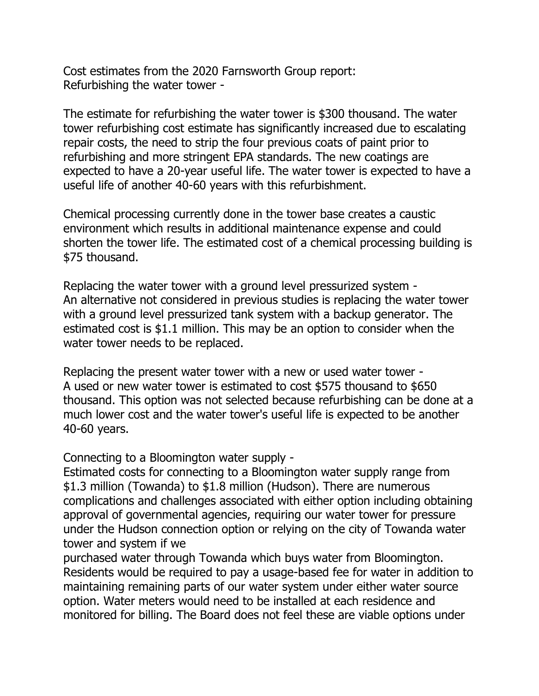Cost estimates from the 2020 Farnsworth Group report: Refurbishing the water tower -

The estimate for refurbishing the water tower is \$300 thousand. The water tower refurbishing cost estimate has significantly increased due to escalating repair costs, the need to strip the four previous coats of paint prior to refurbishing and more stringent EPA standards. The new coatings are expected to have a 20-year useful life. The water tower is expected to have a useful life of another 40-60 years with this refurbishment.

Chemical processing currently done in the tower base creates a caustic environment which results in additional maintenance expense and could shorten the tower life. The estimated cost of a chemical processing building is \$75 thousand.

Replacing the water tower with a ground level pressurized system - An alternative not considered in previous studies is replacing the water tower with a ground level pressurized tank system with a backup generator. The estimated cost is \$1.1 million. This may be an option to consider when the water tower needs to be replaced.

Replacing the present water tower with a new or used water tower - A used or new water tower is estimated to cost \$575 thousand to \$650 thousand. This option was not selected because refurbishing can be done at a much lower cost and the water tower's useful life is expected to be another 40-60 years.

Connecting to a Bloomington water supply -

Estimated costs for connecting to a Bloomington water supply range from \$1.3 million (Towanda) to \$1.8 million (Hudson). There are numerous complications and challenges associated with either option including obtaining approval of governmental agencies, requiring our water tower for pressure under the Hudson connection option or relying on the city of Towanda water tower and system if we

purchased water through Towanda which buys water from Bloomington. Residents would be required to pay a usage-based fee for water in addition to maintaining remaining parts of our water system under either water source option. Water meters would need to be installed at each residence and monitored for billing. The Board does not feel these are viable options under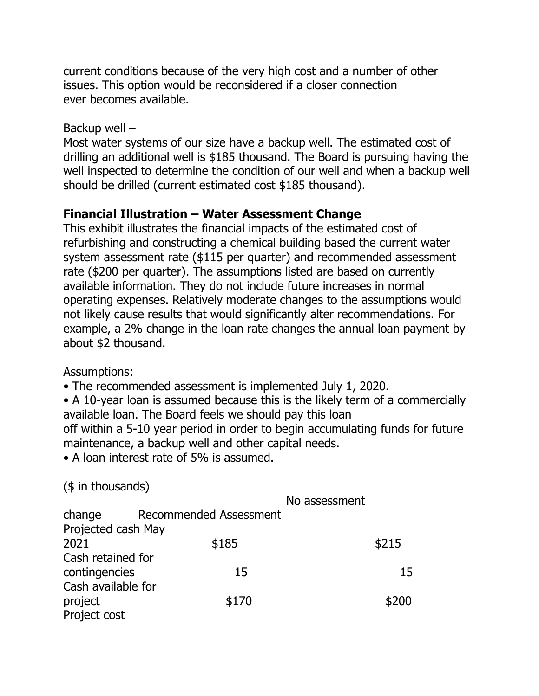current conditions because of the very high cost and a number of other issues. This option would be reconsidered if a closer connection ever becomes available.

#### Backup well –

Most water systems of our size have a backup well. The estimated cost of drilling an additional well is \$185 thousand. The Board is pursuing having the well inspected to determine the condition of our well and when a backup well should be drilled (current estimated cost \$185 thousand).

# **Financial Illustration – Water Assessment Change**

This exhibit illustrates the financial impacts of the estimated cost of refurbishing and constructing a chemical building based the current water system assessment rate (\$115 per quarter) and recommended assessment rate (\$200 per quarter). The assumptions listed are based on currently available information. They do not include future increases in normal operating expenses. Relatively moderate changes to the assumptions would not likely cause results that would significantly alter recommendations. For example, a 2% change in the loan rate changes the annual loan payment by about \$2 thousand.

Assumptions:

• The recommended assessment is implemented July 1, 2020.

• A 10-year loan is assumed because this is the likely term of a commercially available loan. The Board feels we should pay this loan off within a 5-10 year period in order to begin accumulating funds for future maintenance, a backup well and other capital needs.

• A loan interest rate of 5% is assumed.

(\$ in thousands)

|                    |                        | No assessment |       |
|--------------------|------------------------|---------------|-------|
| change             | Recommended Assessment |               |       |
| Projected cash May |                        |               |       |
| 2021               | \$185                  |               | \$215 |
| Cash retained for  |                        |               |       |
| contingencies      | 15                     |               | 15    |
| Cash available for |                        |               |       |
| project            | \$170                  |               | \$200 |
| Project cost       |                        |               |       |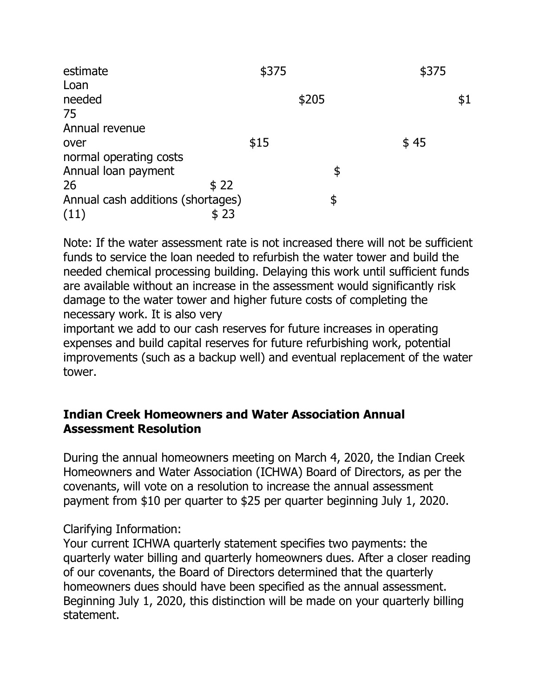| estimate                          | \$375 | \$375 |
|-----------------------------------|-------|-------|
| Loan                              |       |       |
| needed                            | \$205 | \$1   |
| 75                                |       |       |
| Annual revenue                    |       |       |
| over                              | \$15  | \$45  |
| normal operating costs            |       |       |
| Annual loan payment               | \$    |       |
| \$22<br>26                        |       |       |
| Annual cash additions (shortages) | \$    |       |
| (11)<br>\$23                      |       |       |

Note: If the water assessment rate is not increased there will not be sufficient funds to service the loan needed to refurbish the water tower and build the needed chemical processing building. Delaying this work until sufficient funds are available without an increase in the assessment would significantly risk damage to the water tower and higher future costs of completing the necessary work. It is also very

important we add to our cash reserves for future increases in operating expenses and build capital reserves for future refurbishing work, potential improvements (such as a backup well) and eventual replacement of the water tower.

## **Indian Creek Homeowners and Water Association Annual Assessment Resolution**

During the annual homeowners meeting on March 4, 2020, the Indian Creek Homeowners and Water Association (ICHWA) Board of Directors, as per the covenants, will vote on a resolution to increase the annual assessment payment from \$10 per quarter to \$25 per quarter beginning July 1, 2020.

# Clarifying Information:

Your current ICHWA quarterly statement specifies two payments: the quarterly water billing and quarterly homeowners dues. After a closer reading of our covenants, the Board of Directors determined that the quarterly homeowners dues should have been specified as the annual assessment. Beginning July 1, 2020, this distinction will be made on your quarterly billing statement.